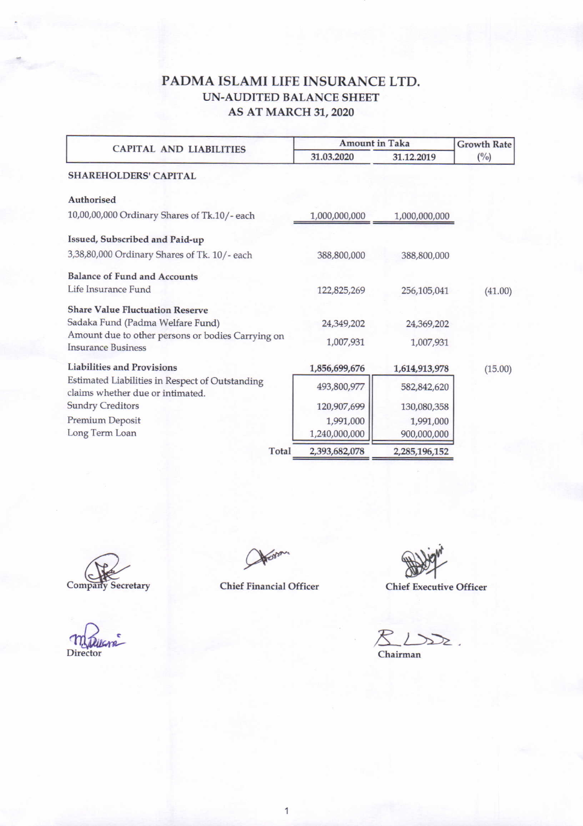## PADMA ISLAMI LIFE INSURANCE LTD. UN-AUDITED BALANCE SHEET AS AT MARCH 3I,2O2O

| <b>CAPITAL AND LIABILITIES</b>                                                      | <b>Amount in Taka</b>      | <b>Growth Rate</b>       |               |
|-------------------------------------------------------------------------------------|----------------------------|--------------------------|---------------|
|                                                                                     | 31.03.2020                 | 31.12.2019               | $(^{0}/_{0})$ |
| <b>SHAREHOLDERS' CAPITAL</b>                                                        |                            |                          |               |
| <b>Authorised</b>                                                                   |                            |                          |               |
| 10,00,00,000 Ordinary Shares of Tk.10/- each                                        | 1,000,000,000              | 1,000,000,000            |               |
| Issued, Subscribed and Paid-up                                                      |                            |                          |               |
| 3,38,80,000 Ordinary Shares of Tk. 10/-each                                         | 388,800,000                | 388,800,000              |               |
| <b>Balance of Fund and Accounts</b><br>Life Insurance Fund                          | 122,825,269                | 256,105,041              | (41.00)       |
| <b>Share Value Fluctuation Reserve</b><br>Sadaka Fund (Padma Welfare Fund)          | 24,349,202                 | 24,369,202               |               |
| Amount due to other persons or bodies Carrying on<br><b>Insurance Business</b>      | 1,007,931                  | 1,007,931                |               |
| <b>Liabilities and Provisions</b>                                                   | 1,856,699,676              | 1,614,913,978            | (15.00)       |
| Estimated Liabilities in Respect of Outstanding<br>claims whether due or intimated. | 493,800,977                | 582,842,620              |               |
| <b>Sundry Creditors</b>                                                             | 120,907,699                | 130,080,358              |               |
| Premium Deposit<br>Long Term Loan                                                   | 1,991,000<br>1,240,000,000 | 1,991,000<br>900,000,000 |               |
| Total                                                                               | 2,393,682,078              | 2,285,196,152            |               |

Company Secretary Chief Financial Officer

Chief Executive Officer

 $\mathbb{Z}$  $\rightarrow$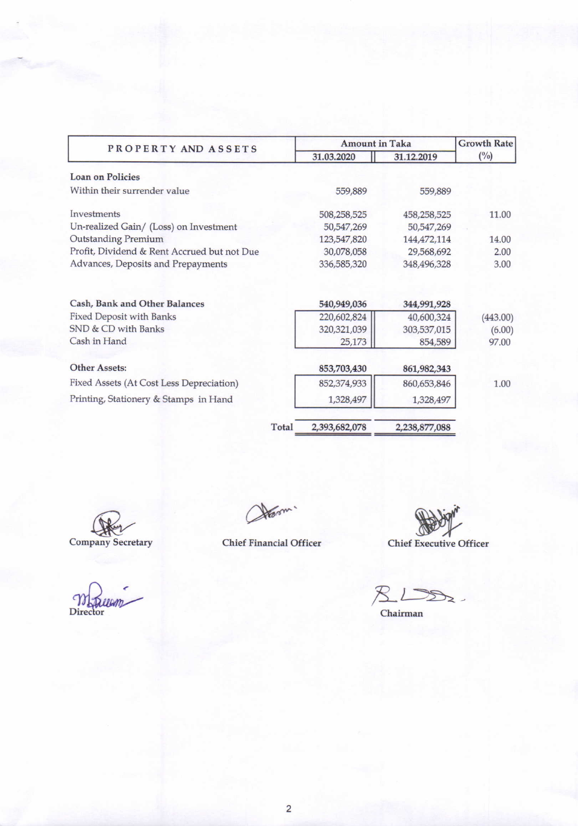| PROPERTY AND ASSETS                         |               | <b>Amount in Taka</b> |              |  |
|---------------------------------------------|---------------|-----------------------|--------------|--|
|                                             | 31.03.2020    | 31.12.2019            | $(^{0}_{0})$ |  |
| <b>Loan on Policies</b>                     |               |                       |              |  |
| Within their surrender value                | 559,889       | 559,889               |              |  |
| Investments                                 | 508,258,525   | 458,258,525           | 11.00        |  |
| Un-realized Gain/ (Loss) on Investment      | 50,547,269    | 50,547,269            |              |  |
| <b>Outstanding Premium</b>                  | 123,547,820   | 144,472,114           | 14.00        |  |
| Profit, Dividend & Rent Accrued but not Due | 30,078,058    | 29,568,692            | 2.00         |  |
| Advances, Deposits and Prepayments          | 336,585,320   | 348,496,328           | 3.00         |  |
| Cash, Bank and Other Balances               | 540,949,036   | 344,991,928           |              |  |
| <b>Fixed Deposit with Banks</b>             | 220,602,824   | 40,600,324            | (443.00)     |  |
| SND & CD with Banks                         | 320,321,039   | 303,537,015           | (6.00)       |  |
| Cash in Hand                                | 25,173        | 854,589               | 97.00        |  |
| <b>Other Assets:</b>                        | 853,703,430   | 861,982,343           |              |  |
| Fixed Assets (At Cost Less Depreciation)    | 852,374,933   | 860,653,846           | 1.00         |  |
| Printing, Stationery & Stamps in Hand       | 1,328,497     | 1,328,497             |              |  |
| Total                                       | 2.393.682.078 | 2.238.877.088         |              |  |

Company Secretary

Alson.

Chief Financial Officer

P Chief Executive Officer

Director

 $BL$  $\geq$ 

 $$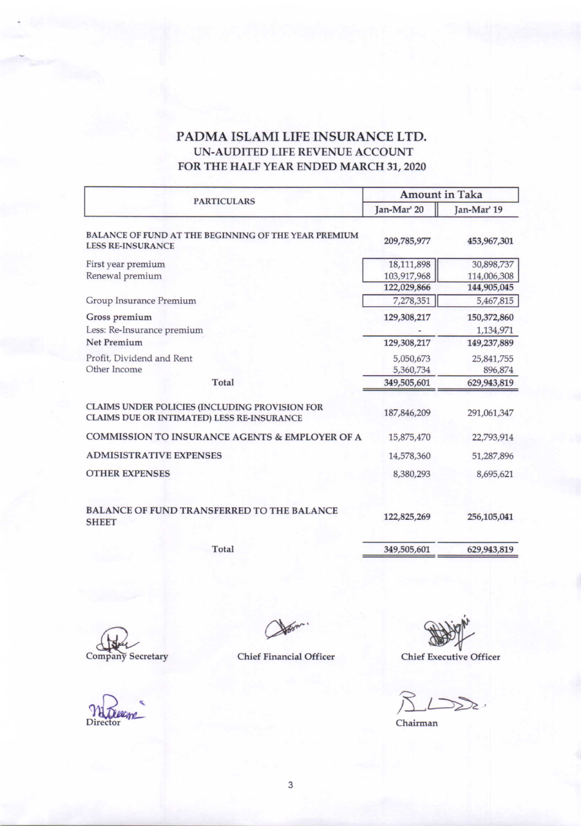## PADMA ISLAMI LIFE INSURANCE LTD. UN-AUDITED LIFE REVENUE ACCOUNT FOR THE HALF YEAR ENDED MARCH 31, 2020

|                                                                                              | <b>Amount in Taka</b> |             |  |  |
|----------------------------------------------------------------------------------------------|-----------------------|-------------|--|--|
| <b>PARTICULARS</b>                                                                           | Jan-Mar' 20           | Jan-Mar' 19 |  |  |
| BALANCE OF FUND AT THE BEGINNING OF THE YEAR PREMIUM<br><b>LESS RE-INSURANCE</b>             | 209,785,977           | 453,967,301 |  |  |
| First year premium                                                                           | 18,111,898            | 30,898,737  |  |  |
| Renewal premium                                                                              | 103,917,968           | 114,006,308 |  |  |
|                                                                                              | 122,029,866           | 144,905,045 |  |  |
| Group Insurance Premium                                                                      | 7,278,351             | 5,467,815   |  |  |
| Gross premium                                                                                | 129,308,217           | 150,372,860 |  |  |
| Less: Re-Insurance premium                                                                   |                       | 1,134,971   |  |  |
| <b>Net Premium</b>                                                                           | 129,308,217           | 149,237,889 |  |  |
| Profit, Dividend and Rent                                                                    | 5,050,673             | 25,841,755  |  |  |
| Other Income                                                                                 | 5,360,734             | 896,874     |  |  |
| Total                                                                                        | 349,505,601           | 629,943,819 |  |  |
| CLAIMS UNDER POLICIES (INCLUDING PROVISION FOR<br>CLAIMS DUE OR INTIMATED) LESS RE-INSURANCE | 187,846,209           | 291,061,347 |  |  |
| <b>COMMISSION TO INSURANCE AGENTS &amp; EMPLOYER OF A</b>                                    | 15,875,470            | 22,793,914  |  |  |
| <b>ADMISISTRATIVE EXPENSES</b>                                                               | 14,578,360            | 51,287,896  |  |  |
| <b>OTHER EXPENSES</b>                                                                        | 8,380,293             | 8,695,621   |  |  |
| <b>BALANCE OF FUND TRANSFERRED TO THE BALANCE</b>                                            | 122,825,269           | 256,105,041 |  |  |
| <b>SHEET</b>                                                                                 |                       |             |  |  |
| Total                                                                                        | 349,505,601           | 629,943,819 |  |  |

Company Secretary

**Director** 

How

**Chief Financial Officer** 

Chief Executive Officer

 $L\gg$ 

Chairman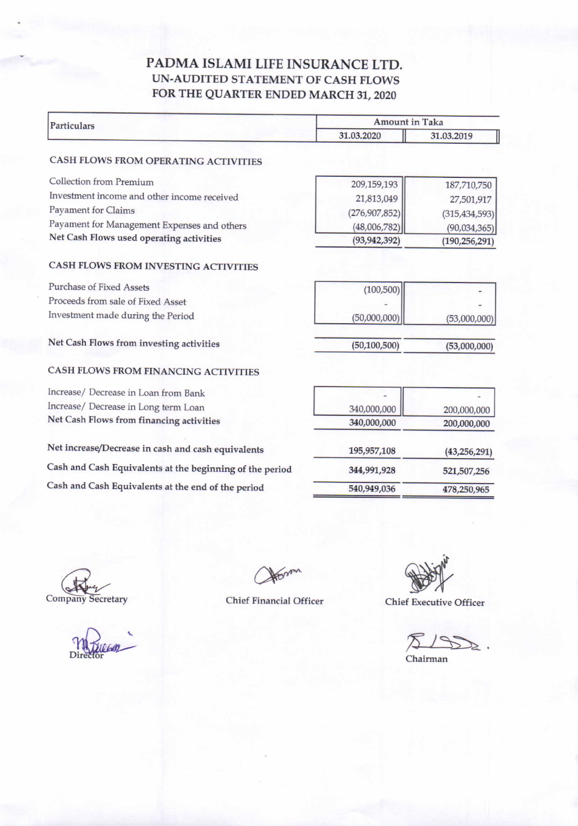## PADMA ISLAMI LIFE INSURANCE LTD. UN-AUDITED STATEMENT OF CASH FLOWS FOR THE QUARTER ENDED MARCH 31, 2020

| <b>Particulars</b>                                       | Amount in Taka |                 |  |  |
|----------------------------------------------------------|----------------|-----------------|--|--|
|                                                          | 31.03.2020     | 31.03.2019      |  |  |
| CASH FLOWS FROM OPERATING ACTIVITIES                     |                |                 |  |  |
| Collection from Premium                                  | 209,159,193    | 187,710,750     |  |  |
| Investment income and other income received              | 21,813,049     | 27,501,917      |  |  |
| Payament for Claims                                      | (276,907,852)  | (315, 434, 593) |  |  |
| Payament for Management Expenses and others              | (48,006,782)   | (90,034,365)    |  |  |
| Net Cash Flows used operating activities                 | (93, 942, 392) | (190, 256, 291) |  |  |
| CASH FLOWS FROM INVESTING ACTIVITIES                     |                |                 |  |  |
| <b>Purchase of Fixed Assets</b>                          | (100, 500)     |                 |  |  |
| Proceeds from sale of Fixed Asset                        |                |                 |  |  |
| Investment made during the Period                        | (50,000,000)   | (53,000,000)    |  |  |
| Net Cash Flows from investing activities                 | (50, 100, 500) | (53,000,000)    |  |  |
| CASH FLOWS FROM FINANCING ACTIVITIES                     |                |                 |  |  |
| Increase/ Decrease in Loan from Bank                     |                |                 |  |  |
| Increase/ Decrease in Long term Loan                     | 340,000,000    | 200,000,000     |  |  |
| Net Cash Flows from financing activities                 | 340,000,000    | 200,000,000     |  |  |
| Net increase/Decrease in cash and cash equivalents       | 195,957,108    | (43, 256, 291)  |  |  |
| Cash and Cash Equivalents at the beginning of the period | 344,991,928    | 521,507,256     |  |  |
| Cash and Cash Equivalents at the end of the period       | 540,949,036    | 478,250,965     |  |  |
|                                                          |                |                 |  |  |

ette Company Secretary

Di

Chief Financial Officer

Chief Executive Officer

Chairman